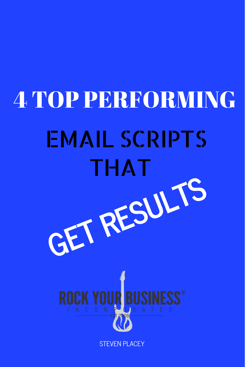# 4 TOP PERFORMING EMAIL SCRIPTS THAT **GET RESULTS ROCK YOUR** STEVEN PLACEY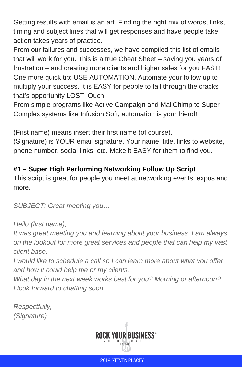Getting results with email is an art. Finding the right mix of words, links, timing and subject lines that will get responses and have people take action takes years of practice.

From our failures and successes, we have compiled this list of emails that will work for you. This is a true Cheat Sheet – saving you years of frustration – and creating more clients and higher sales for you FAST! One more quick tip: USE AUTOMATION. Automate your follow up to multiply your success. It is EASY for people to fall through the cracks – that's opportunity LOST. Ouch.

From simple programs like Active Campaign and MailChimp to Super Complex systems like Infusion Soft, automation is your friend!

(First name) means insert their first name (of course).

(Signature) is YOUR email signature. Your name, title, links to website, phone number, social links, etc. Make it EASY for them to find you.

### **#1 – Super High Performing Networking Follow Up Script**

This script is great for people you meet at networking events, expos and more.

*SUBJECT: Great meeting you…*

#### *Hello (first name),*

*It was great meeting you and learning about your business. I am always on the lookout for more great services and people that can help my vast client base.*

*I would like to schedule a call so I can learn more about what you offer and how it could help me or my clients.*

*What day in the next week works best for you? Morning or afternoon? I look forward to chatting soon.*

*Respectfully, (Signature)*

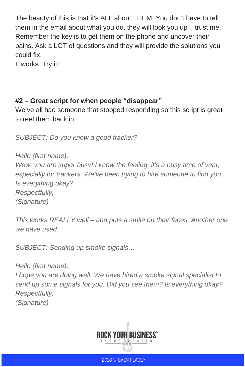The beauty of this is that it's ALL about THEM. You don't have to tell them in the email about what you do, they will look you up  $-$  trust me. Remember the key is to get them on the phone and uncover their pains. Ask a LOT of questions and they will provide the solutions you could fix.

It works. Try it!

# **#2 – Great script for when people "disappear"**

We've all had someone that stopped responding so this script is great to reel them back in.

*SUBJECT: Do you know a good tracker?*

*Hello (first name),*

*Wow, you are super busy! I know the feeling, it's a busy time of year, especially for trackers. We've been trying to hire someone to find you. Is everything okay? Respectfully, (Signature)*

*This works REALLY well – and puts a smile on their faces. Another one we have used….*

*SUBJECT: Sending up smoke signals…*

*Hello (first name), I hope you are doing well. We have hired a smoke signal specialist to send up some signals for you. Did you see them? Is everything okay? Respectfully, (Signature)*



2018 STEVEN PLACEY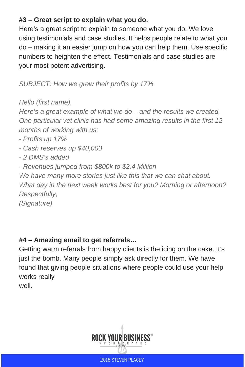#### **#3 – Great script to explain what you do.**

Here's a great script to explain to someone what you do. We love using testimonials and case studies. It helps people relate to what you do – making it an easier jump on how you can help them. Use specific numbers to heighten the effect. Testimonials and case studies are your most potent advertising.

*SUBJECT: How we grew their profits by 17%*

*Hello (first name),*

*Here's a great example of what we do – and the results we created. One particular vet clinic has had some amazing results in the first 12 months of working with us:*

- *- Profits up 17%*
- *- Cash reserves up \$40,000*
- *- 2 DMS's added*
- *- Revenues jumped from \$800k to \$2.4 Million*

*We have many more stories just like this that we can chat about. What day in the next week works best for you? Morning or afternoon? Respectfully,*

*(Signature)*

# **#4 – Amazing email to get referrals…**

Getting warm referrals from happy clients is the icing on the cake. It's just the bomb. Many people simply ask directly for them. We have found that giving people situations where people could use your help works really

well.